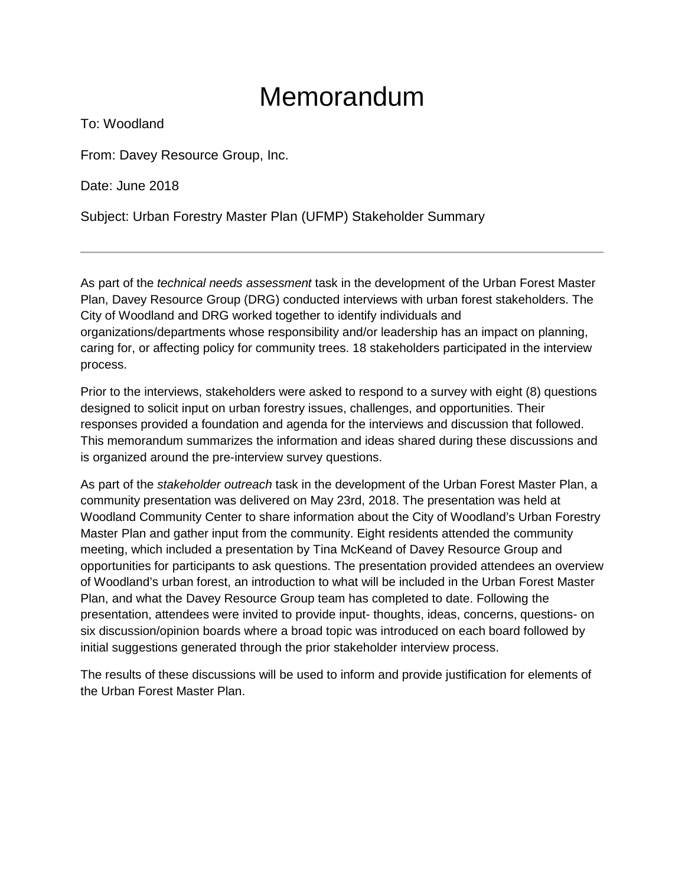### Memorandum

To: Woodland

From: Davey Resource Group, Inc.

Date: June 2018

Subject: Urban Forestry Master Plan (UFMP) Stakeholder Summary

As part of the *technical needs assessment* task in the development of the Urban Forest Master Plan, Davey Resource Group (DRG) conducted interviews with urban forest stakeholders. The City of Woodland and DRG worked together to identify individuals and organizations/departments whose responsibility and/or leadership has an impact on planning, caring for, or affecting policy for community trees. 18 stakeholders participated in the interview process.

Prior to the interviews, stakeholders were asked to respond to a survey with eight (8) questions designed to solicit input on urban forestry issues, challenges, and opportunities. Their responses provided a foundation and agenda for the interviews and discussion that followed. This memorandum summarizes the information and ideas shared during these discussions and is organized around the pre-interview survey questions.

As part of the *stakeholder outreach* task in the development of the Urban Forest Master Plan, a community presentation was delivered on May 23rd, 2018. The presentation was held at Woodland Community Center to share information about the City of Woodland's Urban Forestry Master Plan and gather input from the community. Eight residents attended the community meeting, which included a presentation by Tina McKeand of Davey Resource Group and opportunities for participants to ask questions. The presentation provided attendees an overview of Woodland's urban forest, an introduction to what will be included in the Urban Forest Master Plan, and what the Davey Resource Group team has completed to date. Following the presentation, attendees were invited to provide input- thoughts, ideas, concerns, questions- on six discussion/opinion boards where a broad topic was introduced on each board followed by initial suggestions generated through the prior stakeholder interview process.

The results of these discussions will be used to inform and provide justification for elements of the Urban Forest Master Plan.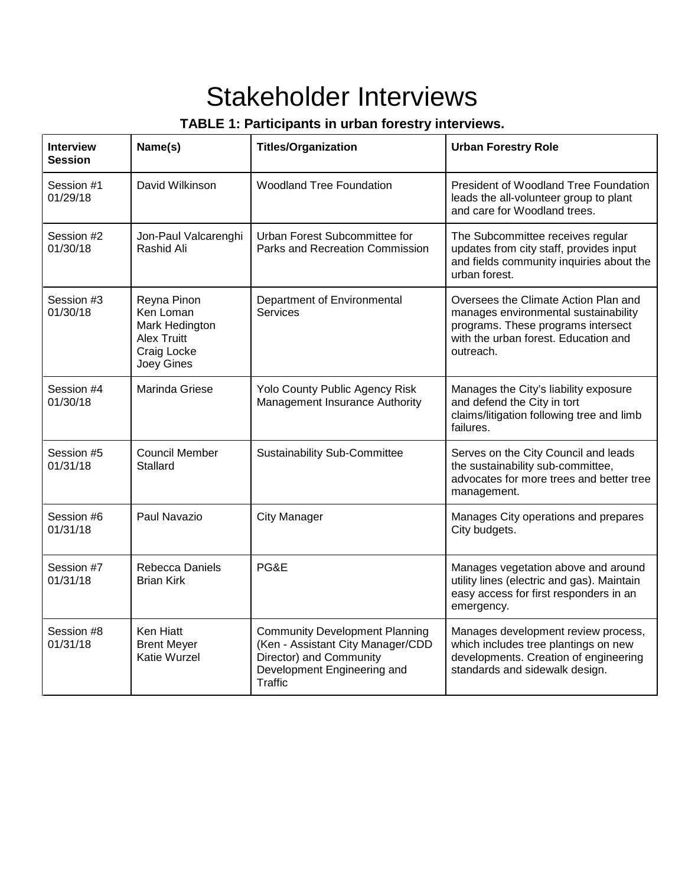## Stakeholder Interviews

### **TABLE 1: Participants in urban forestry interviews.**

| <b>Interview</b><br><b>Session</b> | Name(s)                                                                                       | <b>Titles/Organization</b>                                                                                                                             | <b>Urban Forestry Role</b>                                                                                                                                              |
|------------------------------------|-----------------------------------------------------------------------------------------------|--------------------------------------------------------------------------------------------------------------------------------------------------------|-------------------------------------------------------------------------------------------------------------------------------------------------------------------------|
| Session #1<br>01/29/18             | David Wilkinson                                                                               | <b>Woodland Tree Foundation</b>                                                                                                                        | President of Woodland Tree Foundation<br>leads the all-volunteer group to plant<br>and care for Woodland trees.                                                         |
| Session #2<br>01/30/18             | Jon-Paul Valcarenghi<br>Rashid Ali                                                            | Urban Forest Subcommittee for<br>Parks and Recreation Commission                                                                                       | The Subcommittee receives regular<br>updates from city staff, provides input<br>and fields community inquiries about the<br>urban forest.                               |
| Session #3<br>01/30/18             | Reyna Pinon<br>Ken Loman<br>Mark Hedington<br><b>Alex Truitt</b><br>Craig Locke<br>Joey Gines | Department of Environmental<br><b>Services</b>                                                                                                         | Oversees the Climate Action Plan and<br>manages environmental sustainability<br>programs. These programs intersect<br>with the urban forest. Education and<br>outreach. |
| Session #4<br>01/30/18             | Marinda Griese                                                                                | Yolo County Public Agency Risk<br>Management Insurance Authority                                                                                       | Manages the City's liability exposure<br>and defend the City in tort<br>claims/litigation following tree and limb<br>failures.                                          |
| Session #5<br>01/31/18             | <b>Council Member</b><br><b>Stallard</b>                                                      | <b>Sustainability Sub-Committee</b>                                                                                                                    | Serves on the City Council and leads<br>the sustainability sub-committee,<br>advocates for more trees and better tree<br>management.                                    |
| Session #6<br>01/31/18             | Paul Navazio                                                                                  | <b>City Manager</b>                                                                                                                                    | Manages City operations and prepares<br>City budgets.                                                                                                                   |
| Session #7<br>01/31/18             | Rebecca Daniels<br><b>Brian Kirk</b>                                                          | PG&E                                                                                                                                                   | Manages vegetation above and around<br>utility lines (electric and gas). Maintain<br>easy access for first responders in an<br>emergency.                               |
| Session #8<br>01/31/18             | Ken Hiatt<br><b>Brent Meyer</b><br><b>Katie Wurzel</b>                                        | <b>Community Development Planning</b><br>(Ken - Assistant City Manager/CDD<br>Director) and Community<br>Development Engineering and<br><b>Traffic</b> | Manages development review process,<br>which includes tree plantings on new<br>developments. Creation of engineering<br>standards and sidewalk design.                  |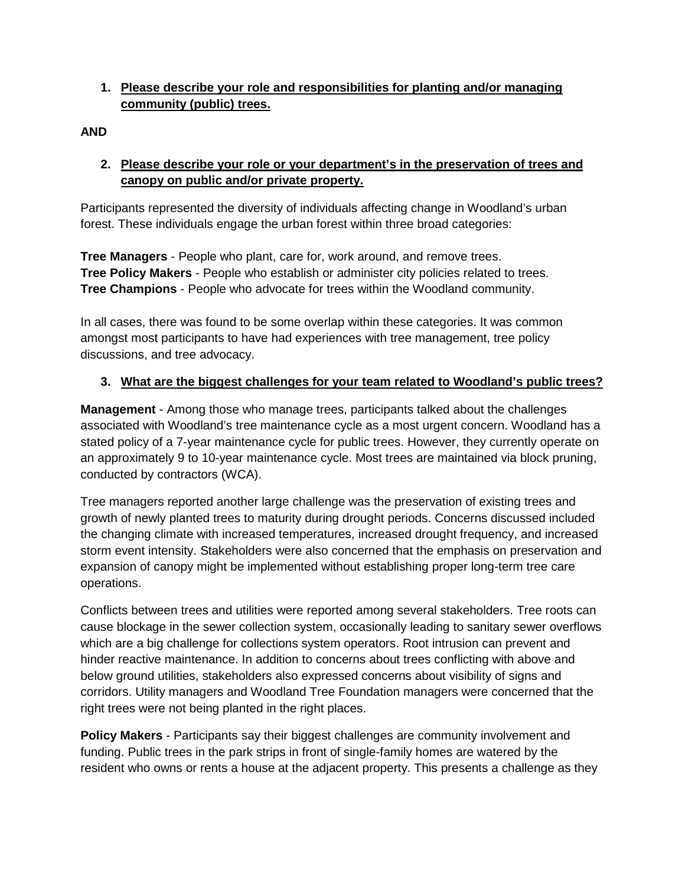#### **1. Please describe your role and responsibilities for planting and/or managing community (public) trees.**

**AND**

#### **2. Please describe your role or your department's in the preservation of trees and canopy on public and/or private property.**

Participants represented the diversity of individuals affecting change in Woodland's urban forest. These individuals engage the urban forest within three broad categories:

**Tree Managers** - People who plant, care for, work around, and remove trees. **Tree Policy Makers** - People who establish or administer city policies related to trees. **Tree Champions** - People who advocate for trees within the Woodland community.

In all cases, there was found to be some overlap within these categories. It was common amongst most participants to have had experiences with tree management, tree policy discussions, and tree advocacy.

#### **3. What are the biggest challenges for your team related to Woodland's public trees?**

**Management** - Among those who manage trees, participants talked about the challenges associated with Woodland's tree maintenance cycle as a most urgent concern. Woodland has a stated policy of a 7-year maintenance cycle for public trees. However, they currently operate on an approximately 9 to 10-year maintenance cycle. Most trees are maintained via block pruning, conducted by contractors (WCA).

Tree managers reported another large challenge was the preservation of existing trees and growth of newly planted trees to maturity during drought periods. Concerns discussed included the changing climate with increased temperatures, increased drought frequency, and increased storm event intensity. Stakeholders were also concerned that the emphasis on preservation and expansion of canopy might be implemented without establishing proper long-term tree care operations.

Conflicts between trees and utilities were reported among several stakeholders. Tree roots can cause blockage in the sewer collection system, occasionally leading to sanitary sewer overflows which are a big challenge for collections system operators. Root intrusion can prevent and hinder reactive maintenance. In addition to concerns about trees conflicting with above and below ground utilities, stakeholders also expressed concerns about visibility of signs and corridors. Utility managers and Woodland Tree Foundation managers were concerned that the right trees were not being planted in the right places.

**Policy Makers** - Participants say their biggest challenges are community involvement and funding. Public trees in the park strips in front of single-family homes are watered by the resident who owns or rents a house at the adjacent property. This presents a challenge as they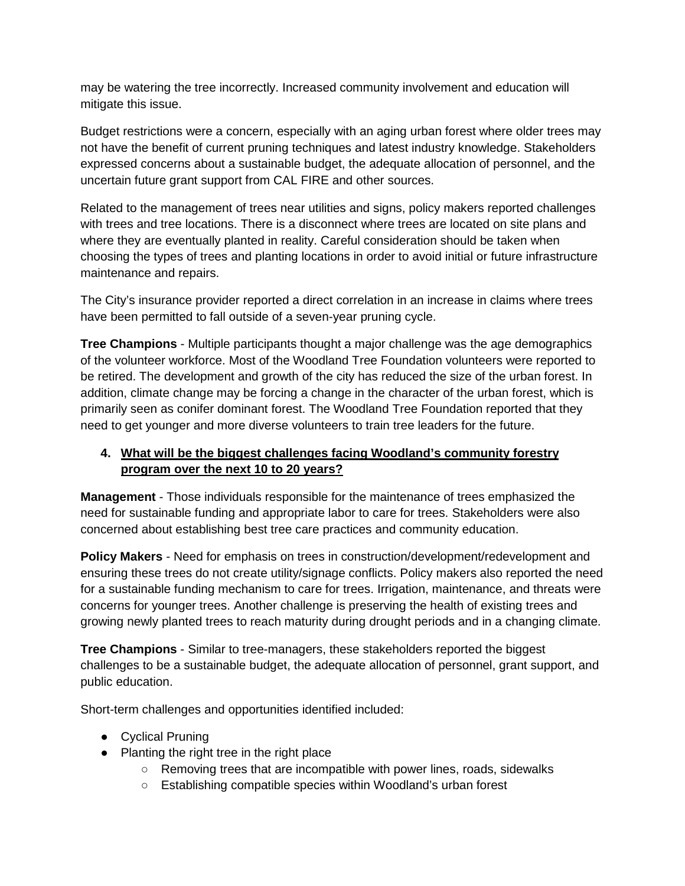may be watering the tree incorrectly. Increased community involvement and education will mitigate this issue.

Budget restrictions were a concern, especially with an aging urban forest where older trees may not have the benefit of current pruning techniques and latest industry knowledge. Stakeholders expressed concerns about a sustainable budget, the adequate allocation of personnel, and the uncertain future grant support from CAL FIRE and other sources.

Related to the management of trees near utilities and signs, policy makers reported challenges with trees and tree locations. There is a disconnect where trees are located on site plans and where they are eventually planted in reality. Careful consideration should be taken when choosing the types of trees and planting locations in order to avoid initial or future infrastructure maintenance and repairs.

The City's insurance provider reported a direct correlation in an increase in claims where trees have been permitted to fall outside of a seven-year pruning cycle.

**Tree Champions** - Multiple participants thought a major challenge was the age demographics of the volunteer workforce. Most of the Woodland Tree Foundation volunteers were reported to be retired. The development and growth of the city has reduced the size of the urban forest. In addition, climate change may be forcing a change in the character of the urban forest, which is primarily seen as conifer dominant forest. The Woodland Tree Foundation reported that they need to get younger and more diverse volunteers to train tree leaders for the future.

#### **4. What will be the biggest challenges facing Woodland's community forestry program over the next 10 to 20 years?**

**Management** - Those individuals responsible for the maintenance of trees emphasized the need for sustainable funding and appropriate labor to care for trees. Stakeholders were also concerned about establishing best tree care practices and community education.

**Policy Makers** - Need for emphasis on trees in construction/development/redevelopment and ensuring these trees do not create utility/signage conflicts. Policy makers also reported the need for a sustainable funding mechanism to care for trees. Irrigation, maintenance, and threats were concerns for younger trees. Another challenge is preserving the health of existing trees and growing newly planted trees to reach maturity during drought periods and in a changing climate.

**Tree Champions** - Similar to tree-managers, these stakeholders reported the biggest challenges to be a sustainable budget, the adequate allocation of personnel, grant support, and public education.

Short-term challenges and opportunities identified included:

- Cyclical Pruning
- Planting the right tree in the right place
	- Removing trees that are incompatible with power lines, roads, sidewalks
	- Establishing compatible species within Woodland's urban forest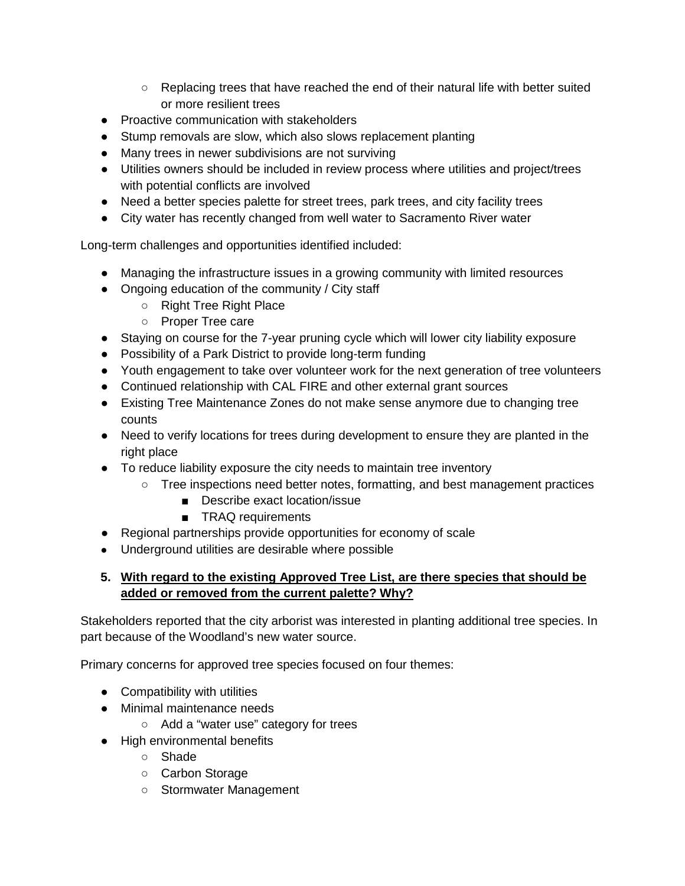- Replacing trees that have reached the end of their natural life with better suited or more resilient trees
- Proactive communication with stakeholders
- Stump removals are slow, which also slows replacement planting
- Many trees in newer subdivisions are not surviving
- Utilities owners should be included in review process where utilities and project/trees with potential conflicts are involved
- Need a better species palette for street trees, park trees, and city facility trees
- City water has recently changed from well water to Sacramento River water

Long-term challenges and opportunities identified included:

- Managing the infrastructure issues in a growing community with limited resources
- Ongoing education of the community / City staff
	- Right Tree Right Place
	- Proper Tree care
- Staying on course for the 7-year pruning cycle which will lower city liability exposure
- Possibility of a Park District to provide long-term funding
- Youth engagement to take over volunteer work for the next generation of tree volunteers
- Continued relationship with CAL FIRE and other external grant sources
- Existing Tree Maintenance Zones do not make sense anymore due to changing tree counts
- Need to verify locations for trees during development to ensure they are planted in the right place
- To reduce liability exposure the city needs to maintain tree inventory
	- Tree inspections need better notes, formatting, and best management practices
		- Describe exact location/issue
		- TRAQ requirements
- Regional partnerships provide opportunities for economy of scale
- Underground utilities are desirable where possible

#### **5. With regard to the existing Approved Tree List, are there species that should be added or removed from the current palette? Why?**

Stakeholders reported that the city arborist was interested in planting additional tree species. In part because of the Woodland's new water source.

Primary concerns for approved tree species focused on four themes:

- Compatibility with utilities
- Minimal maintenance needs
	- Add a "water use" category for trees
- High environmental benefits
	- Shade
	- Carbon Storage
	- Stormwater Management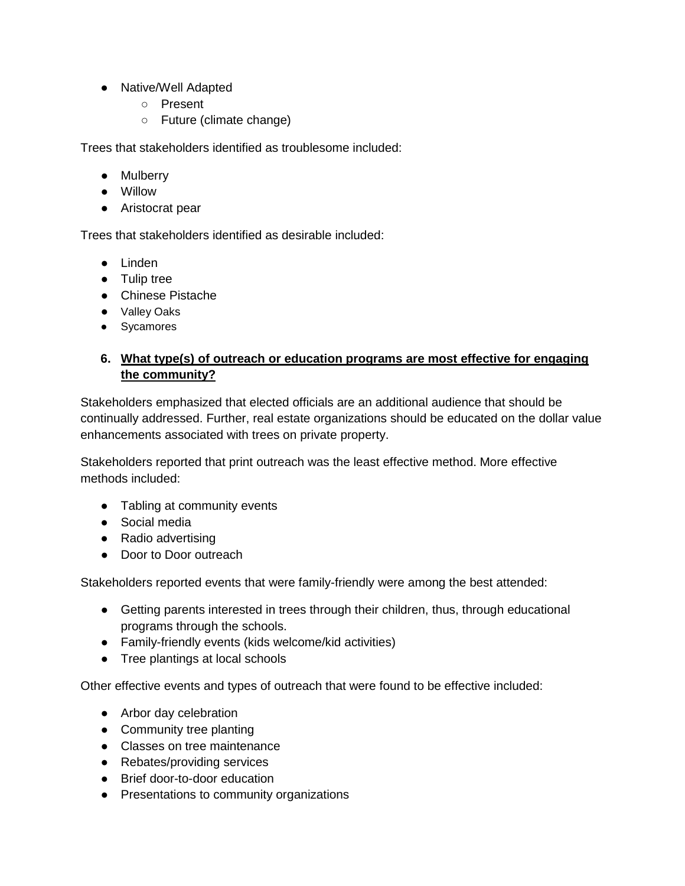- Native/Well Adapted
	- Present
	- Future (climate change)

Trees that stakeholders identified as troublesome included:

- Mulberry
- Willow
- Aristocrat pear

Trees that stakeholders identified as desirable included:

- Linden
- Tulip tree
- Chinese Pistache
- Valley Oaks
- Sycamores

#### **6. What type(s) of outreach or education programs are most effective for engaging the community?**

Stakeholders emphasized that elected officials are an additional audience that should be continually addressed. Further, real estate organizations should be educated on the dollar value enhancements associated with trees on private property.

Stakeholders reported that print outreach was the least effective method. More effective methods included:

- Tabling at community events
- Social media
- Radio advertising
- Door to Door outreach

Stakeholders reported events that were family-friendly were among the best attended:

- Getting parents interested in trees through their children, thus, through educational programs through the schools.
- Family-friendly events (kids welcome/kid activities)
- Tree plantings at local schools

Other effective events and types of outreach that were found to be effective included:

- Arbor day celebration
- Community tree planting
- Classes on tree maintenance
- Rebates/providing services
- Brief door-to-door education
- Presentations to community organizations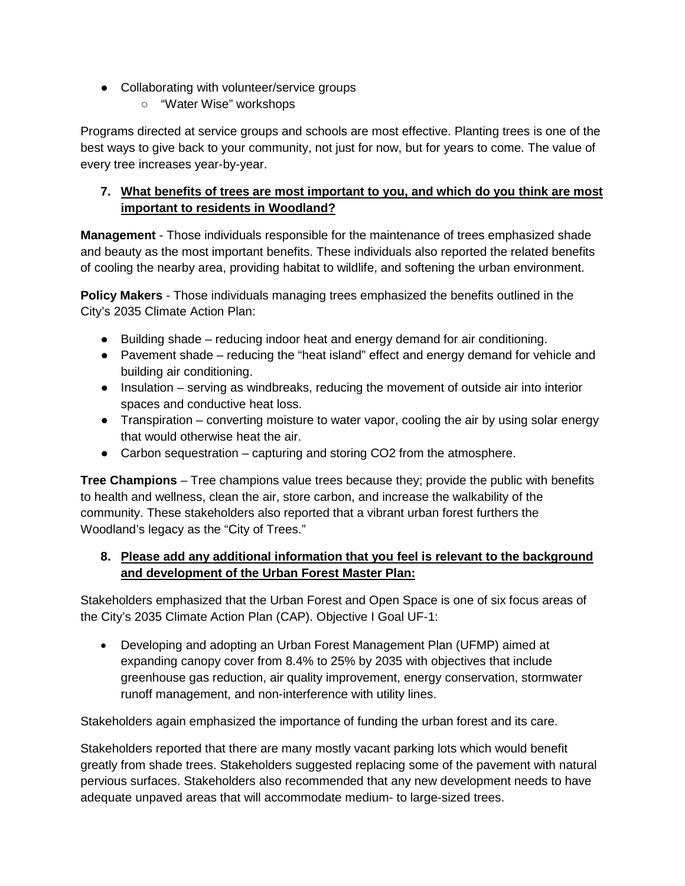- Collaborating with volunteer/service groups
	- "Water Wise" workshops

Programs directed at service groups and schools are most effective. Planting trees is one of the best ways to give back to your community, not just for now, but for years to come. The value of every tree increases year-by-year.

#### **7. What benefits of trees are most important to you, and which do you think are most important to residents in Woodland?**

**Management** - Those individuals responsible for the maintenance of trees emphasized shade and beauty as the most important benefits. These individuals also reported the related benefits of cooling the nearby area, providing habitat to wildlife, and softening the urban environment.

**Policy Makers** - Those individuals managing trees emphasized the benefits outlined in the City's 2035 Climate Action Plan:

- Building shade reducing indoor heat and energy demand for air conditioning.
- Pavement shade reducing the "heat island" effect and energy demand for vehicle and building air conditioning.
- Insulation serving as windbreaks, reducing the movement of outside air into interior spaces and conductive heat loss.
- Transpiration converting moisture to water vapor, cooling the air by using solar energy that would otherwise heat the air.
- Carbon sequestration capturing and storing CO2 from the atmosphere.

**Tree Champions** – Tree champions value trees because they; provide the public with benefits to health and wellness, clean the air, store carbon, and increase the walkability of the community. These stakeholders also reported that a vibrant urban forest furthers the Woodland's legacy as the "City of Trees."

#### **8. Please add any additional information that you feel is relevant to the background and development of the Urban Forest Master Plan:**

Stakeholders emphasized that the Urban Forest and Open Space is one of six focus areas of the City's 2035 Climate Action Plan (CAP). Objective I Goal UF-1:

• Developing and adopting an Urban Forest Management Plan (UFMP) aimed at expanding canopy cover from 8.4% to 25% by 2035 with objectives that include greenhouse gas reduction, air quality improvement, energy conservation, stormwater runoff management, and non-interference with utility lines.

Stakeholders again emphasized the importance of funding the urban forest and its care.

Stakeholders reported that there are many mostly vacant parking lots which would benefit greatly from shade trees. Stakeholders suggested replacing some of the pavement with natural pervious surfaces. Stakeholders also recommended that any new development needs to have adequate unpaved areas that will accommodate medium- to large-sized trees.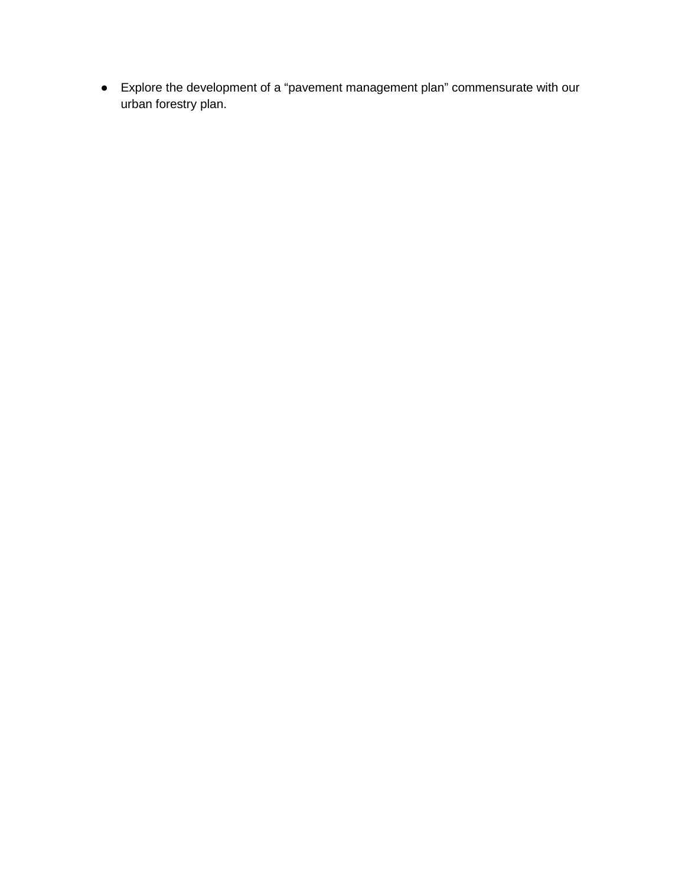● Explore the development of a "pavement management plan" commensurate with our urban forestry plan.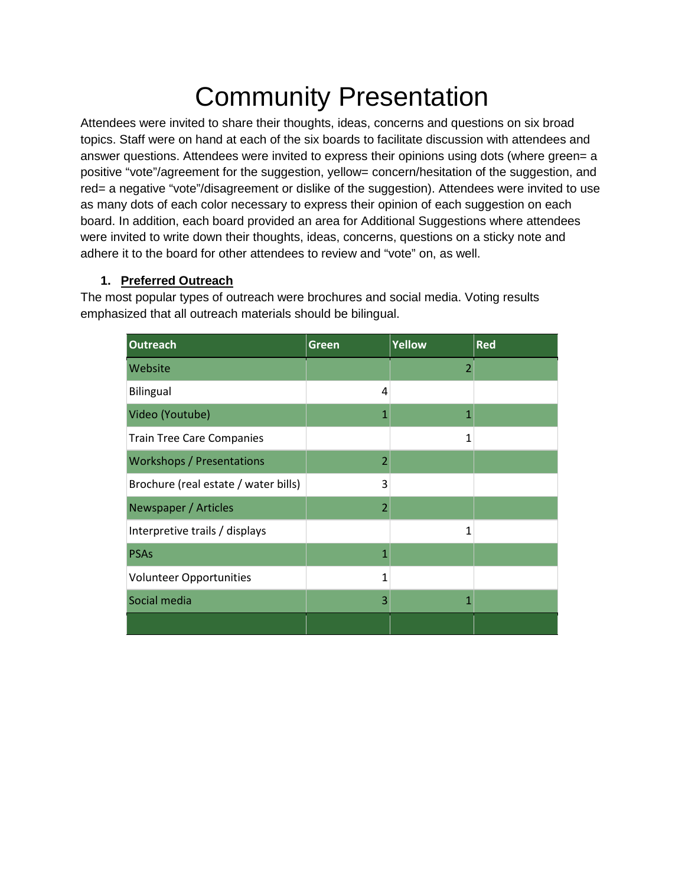# Community Presentation

Attendees were invited to share their thoughts, ideas, concerns and questions on six broad topics. Staff were on hand at each of the six boards to facilitate discussion with attendees and answer questions. Attendees were invited to express their opinions using dots (where green= a positive "vote"/agreement for the suggestion, yellow= concern/hesitation of the suggestion, and red= a negative "vote"/disagreement or dislike of the suggestion). Attendees were invited to use as many dots of each color necessary to express their opinion of each suggestion on each board. In addition, each board provided an area for Additional Suggestions where attendees were invited to write down their thoughts, ideas, concerns, questions on a sticky note and adhere it to the board for other attendees to review and "vote" on, as well.

#### **1. Preferred Outreach**

The most popular types of outreach were brochures and social media. Voting results emphasized that all outreach materials should be bilingual.

| <b>Outreach</b>                      | Green                    | <b>Yellow</b> | <b>Red</b> |
|--------------------------------------|--------------------------|---------------|------------|
| Website                              |                          | 2             |            |
| Bilingual                            | 4                        |               |            |
| Video (Youtube)                      | 1                        | 1             |            |
| <b>Train Tree Care Companies</b>     |                          | 1             |            |
| <b>Workshops / Presentations</b>     | $\overline{\mathcal{L}}$ |               |            |
| Brochure (real estate / water bills) | 3                        |               |            |
| Newspaper / Articles                 | 2                        |               |            |
| Interpretive trails / displays       |                          | $\mathbf{1}$  |            |
| <b>PSAs</b>                          | 1                        |               |            |
| <b>Volunteer Opportunities</b>       | 1                        |               |            |
| Social media                         | 3                        | 1             |            |
|                                      |                          |               |            |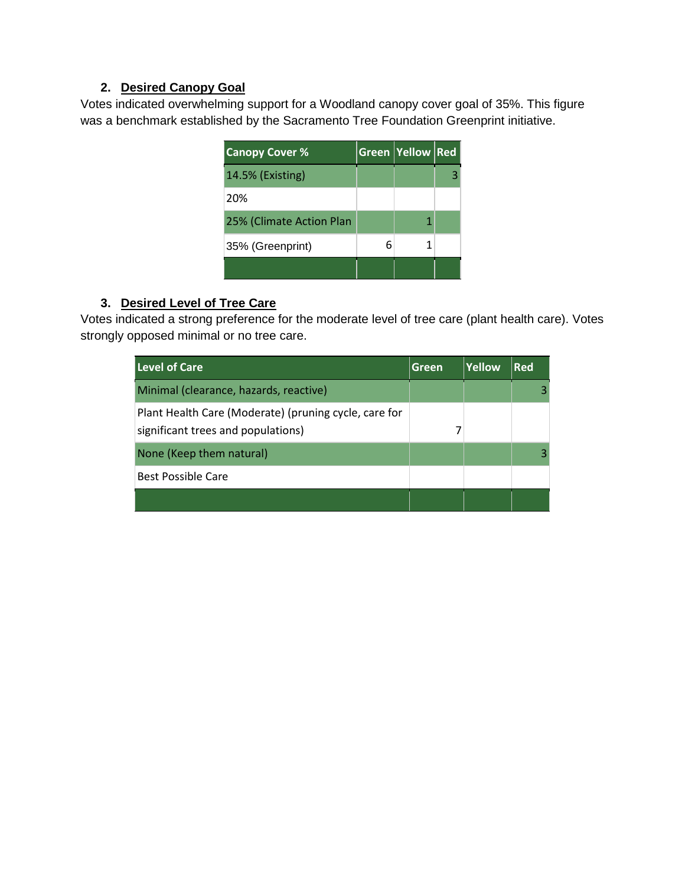#### **2. Desired Canopy Goal**

Votes indicated overwhelming support for a Woodland canopy cover goal of 35%. This figure was a benchmark established by the Sacramento Tree Foundation Greenprint initiative.

| <b>Canopy Cover %</b>    |   | Green Yellow Red |  |
|--------------------------|---|------------------|--|
| 14.5% (Existing)         |   |                  |  |
| 20%                      |   |                  |  |
| 25% (Climate Action Plan |   |                  |  |
| 35% (Greenprint)         | 6 |                  |  |
|                          |   |                  |  |

#### **3. Desired Level of Tree Care**

Votes indicated a strong preference for the moderate level of tree care (plant health care). Votes strongly opposed minimal or no tree care.

| Level of Care                                                                               | Green | Yellow | <b>Red</b> |
|---------------------------------------------------------------------------------------------|-------|--------|------------|
| Minimal (clearance, hazards, reactive)                                                      |       |        |            |
| Plant Health Care (Moderate) (pruning cycle, care for<br>significant trees and populations) |       |        |            |
| None (Keep them natural)                                                                    |       |        |            |
| <b>Best Possible Care</b>                                                                   |       |        |            |
|                                                                                             |       |        |            |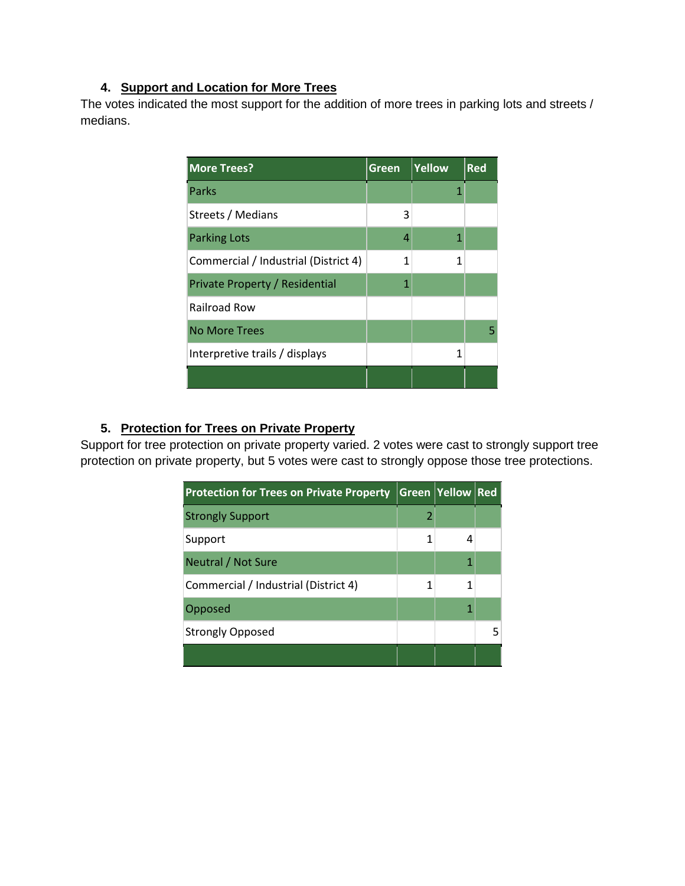#### **4. Support and Location for More Trees**

The votes indicated the most support for the addition of more trees in parking lots and streets / medians.

| <b>More Trees?</b>                   | Green | Yellow | <b>Red</b> |
|--------------------------------------|-------|--------|------------|
| Parks                                |       |        |            |
| Streets / Medians                    | 3     |        |            |
| <b>Parking Lots</b>                  | 4     | 1      |            |
| Commercial / Industrial (District 4) | 1     | 1      |            |
| Private Property / Residential       | 1     |        |            |
| <b>Railroad Row</b>                  |       |        |            |
| <b>No More Trees</b>                 |       |        | 5          |
| Interpretive trails / displays       |       | 1      |            |
|                                      |       |        |            |

#### **5. Protection for Trees on Private Property**

Support for tree protection on private property varied. 2 votes were cast to strongly support tree protection on private property, but 5 votes were cast to strongly oppose those tree protections.

| <b>Protection for Trees on Private Property</b> |   | <b>Green Yellow Red</b> |  |
|-------------------------------------------------|---|-------------------------|--|
| <b>Strongly Support</b>                         | 2 |                         |  |
| Support                                         |   |                         |  |
| Neutral / Not Sure                              |   |                         |  |
| Commercial / Industrial (District 4)            |   |                         |  |
| Opposed                                         |   |                         |  |
| <b>Strongly Opposed</b>                         |   |                         |  |
|                                                 |   |                         |  |